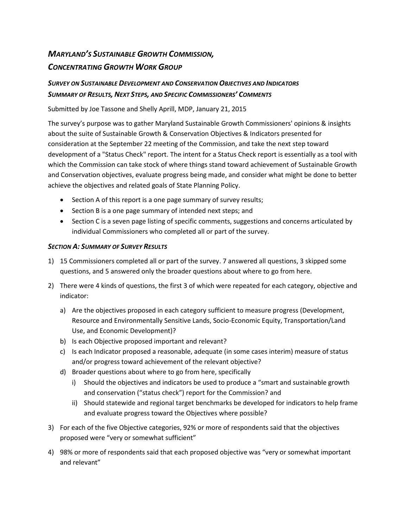# *MARYLAND'S SUSTAINABLE GROWTH COMMISSION, CONCENTRATING GROWTH WORK GROUP*

## *SURVEY ON SUSTAINABLE DEVELOPMENT AND CONSERVATION OBJECTIVES AND INDICATORS SUMMARY OF RESULTS, NEXT STEPS, AND SPECIFIC COMMISSIONERS' COMMENTS*

Submitted by Joe Tassone and Shelly Aprill, MDP, January 21, 2015

The survey's purpose was to gather Maryland Sustainable Growth Commissioners' opinions & insights about the suite of Sustainable Growth & Conservation Objectives & Indicators presented for consideration at the September 22 meeting of the Commission, and take the next step toward development of a "Status Check" report. The intent for a Status Check report is essentially as a tool with which the Commission can take stock of where things stand toward achievement of Sustainable Growth and Conservation objectives, evaluate progress being made, and consider what might be done to better achieve the objectives and related goals of State Planning Policy.

- Section A of this report is a one page summary of survey results;
- Section B is a one page summary of intended next steps; and
- Section C is a seven page listing of specific comments, suggestions and concerns articulated by individual Commissioners who completed all or part of the survey.

### *SECTION A: SUMMARY OF SURVEY RESULTS*

- 1) 15 Commissioners completed all or part of the survey. 7 answered all questions, 3 skipped some questions, and 5 answered only the broader questions about where to go from here.
- 2) There were 4 kinds of questions, the first 3 of which were repeated for each category, objective and indicator:
	- a) Are the objectives proposed in each category sufficient to measure progress (Development, Resource and Environmentally Sensitive Lands, Socio-Economic Equity, Transportation/Land Use, and Economic Development)?
	- b) Is each Objective proposed important and relevant?
	- c) Is each Indicator proposed a reasonable, adequate (in some cases interim) measure of status and/or progress toward achievement of the relevant objective?
	- d) Broader questions about where to go from here, specifically
		- i) Should the objectives and indicators be used to produce a "smart and sustainable growth and conservation ("status check") report for the Commission? and
		- ii) Should statewide and regional target benchmarks be developed for indicators to help frame and evaluate progress toward the Objectives where possible?
- 3) For each of the five Objective categories, 92% or more of respondents said that the objectives proposed were "very or somewhat sufficient"
- 4) 98% or more of respondents said that each proposed objective was "very or somewhat important and relevant"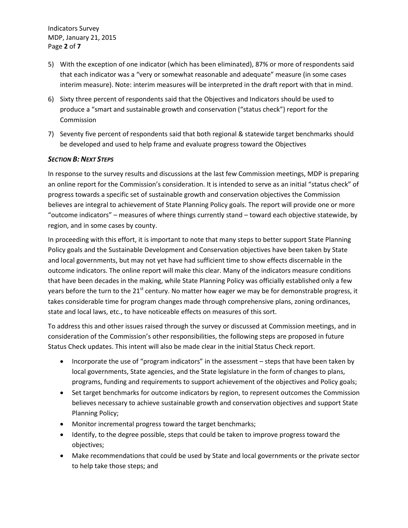Indicators Survey MDP, January 21, 2015 Page **2** of **7**

- 5) With the exception of one indicator (which has been eliminated), 87% or more of respondents said that each indicator was a "very or somewhat reasonable and adequate" measure (in some cases interim measure). Note: interim measures will be interpreted in the draft report with that in mind.
- 6) Sixty three percent of respondents said that the Objectives and Indicators should be used to produce a "smart and sustainable growth and conservation ("status check") report for the Commission
- 7) Seventy five percent of respondents said that both regional & statewide target benchmarks should be developed and used to help frame and evaluate progress toward the Objectives

#### *SECTION B: NEXT STEPS*

In response to the survey results and discussions at the last few Commission meetings, MDP is preparing an online report for the Commission's consideration. It is intended to serve as an initial "status check" of progress towards a specific set of sustainable growth and conservation objectives the Commission believes are integral to achievement of State Planning Policy goals. The report will provide one or more "outcome indicators" – measures of where things currently stand – toward each objective statewide, by region, and in some cases by county.

In proceeding with this effort, it is important to note that many steps to better support State Planning Policy goals and the Sustainable Development and Conservation objectives have been taken by State and local governments, but may not yet have had sufficient time to show effects discernable in the outcome indicators. The online report will make this clear. Many of the indicators measure conditions that have been decades in the making, while State Planning Policy was officially established only a few years before the turn to the 21<sup>st</sup> century. No matter how eager we may be for demonstrable progress, it takes considerable time for program changes made through comprehensive plans, zoning ordinances, state and local laws, etc., to have noticeable effects on measures of this sort.

To address this and other issues raised through the survey or discussed at Commission meetings, and in consideration of the Commission's other responsibilities, the following steps are proposed in future Status Check updates. This intent will also be made clear in the initial Status Check report.

- Incorporate the use of "program indicators" in the assessment steps that have been taken by local governments, State agencies, and the State legislature in the form of changes to plans, programs, funding and requirements to support achievement of the objectives and Policy goals;
- Set target benchmarks for outcome indicators by region, to represent outcomes the Commission believes necessary to achieve sustainable growth and conservation objectives and support State Planning Policy;
- Monitor incremental progress toward the target benchmarks;
- Identify, to the degree possible, steps that could be taken to improve progress toward the objectives;
- Make recommendations that could be used by State and local governments or the private sector to help take those steps; and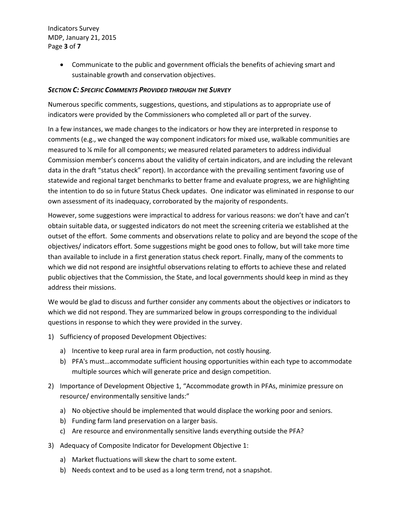Indicators Survey MDP, January 21, 2015 Page **3** of **7**

> Communicate to the public and government officials the benefits of achieving smart and sustainable growth and conservation objectives.

#### *SECTION C: SPECIFIC COMMENTS PROVIDED THROUGH THE SURVEY*

Numerous specific comments, suggestions, questions, and stipulations as to appropriate use of indicators were provided by the Commissioners who completed all or part of the survey.

In a few instances, we made changes to the indicators or how they are interpreted in response to comments (e.g., we changed the way component indicators for mixed use, walkable communities are measured to ¼ mile for all components; we measured related parameters to address individual Commission member's concerns about the validity of certain indicators, and are including the relevant data in the draft "status check" report). In accordance with the prevailing sentiment favoring use of statewide and regional target benchmarks to better frame and evaluate progress, we are highlighting the intention to do so in future Status Check updates. One indicator was eliminated in response to our own assessment of its inadequacy, corroborated by the majority of respondents.

However, some suggestions were impractical to address for various reasons: we don't have and can't obtain suitable data, or suggested indicators do not meet the screening criteria we established at the outset of the effort. Some comments and observations relate to policy and are beyond the scope of the objectives/ indicators effort. Some suggestions might be good ones to follow, but will take more time than available to include in a first generation status check report. Finally, many of the comments to which we did not respond are insightful observations relating to efforts to achieve these and related public objectives that the Commission, the State, and local governments should keep in mind as they address their missions.

We would be glad to discuss and further consider any comments about the objectives or indicators to which we did not respond. They are summarized below in groups corresponding to the individual questions in response to which they were provided in the survey.

- 1) Sufficiency of proposed Development Objectives:
	- a) Incentive to keep rural area in farm production, not costly housing.
	- b) PFA's must…accommodate sufficient housing opportunities within each type to accommodate multiple sources which will generate price and design competition.
- 2) Importance of Development Objective 1, "Accommodate growth in PFAs, minimize pressure on resource/ environmentally sensitive lands:"
	- a) No objective should be implemented that would displace the working poor and seniors.
	- b) Funding farm land preservation on a larger basis.
	- c) Are resource and environmentally sensitive lands everything outside the PFA?
- 3) Adequacy of Composite Indicator for Development Objective 1:
	- a) Market fluctuations will skew the chart to some extent.
	- b) Needs context and to be used as a long term trend, not a snapshot.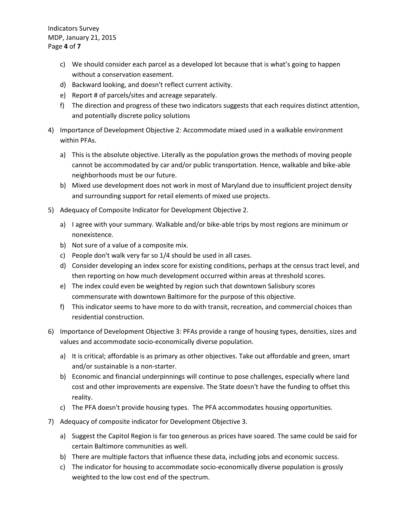Indicators Survey MDP, January 21, 2015 Page **4** of **7**

- c) We should consider each parcel as a developed lot because that is what's going to happen without a conservation easement.
- d) Backward looking, and doesn't reflect current activity.
- e) Report # of parcels/sites and acreage separately.
- f) The direction and progress of these two indicators suggests that each requires distinct attention, and potentially discrete policy solutions
- 4) Importance of Development Objective 2: Accommodate mixed used in a walkable environment within PFAs.
	- a) This is the absolute objective. Literally as the population grows the methods of moving people cannot be accommodated by car and/or public transportation. Hence, walkable and bike-able neighborhoods must be our future.
	- b) Mixed use development does not work in most of Maryland due to insufficient project density and surrounding support for retail elements of mixed use projects.
- 5) Adequacy of Composite Indicator for Development Objective 2.
	- a) I agree with your summary. Walkable and/or bike-able trips by most regions are minimum or nonexistence.
	- b) Not sure of a value of a composite mix.
	- c) People don't walk very far so 1/4 should be used in all cases.
	- d) Consider developing an index score for existing conditions, perhaps at the census tract level, and then reporting on how much development occurred within areas at threshold scores.
	- e) The index could even be weighted by region such that downtown Salisbury scores commensurate with downtown Baltimore for the purpose of this objective.
	- f) This indicator seems to have more to do with transit, recreation, and commercial choices than residential construction.
- 6) Importance of Development Objective 3: PFAs provide a range of housing types, densities, sizes and values and accommodate socio-economically diverse population.
	- a) It is critical; affordable is as primary as other objectives. Take out affordable and green, smart and/or sustainable is a non-starter.
	- b) Economic and financial underpinnings will continue to pose challenges, especially where land cost and other improvements are expensive. The State doesn't have the funding to offset this reality.
	- c) The PFA doesn't provide housing types. The PFA accommodates housing opportunities.
- 7) Adequacy of composite indicator for Development Objective 3.
	- a) Suggest the Capitol Region is far too generous as prices have soared. The same could be said for certain Baltimore communities as well.
	- b) There are multiple factors that influence these data, including jobs and economic success.
	- c) The indicator for housing to accommodate socio-economically diverse population is grossly weighted to the low cost end of the spectrum.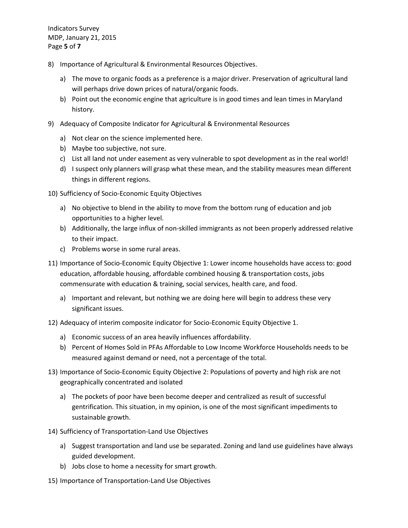Indicators Survey MDP, January 21, 2015 Page **5** of **7**

- 8) Importance of Agricultural & Environmental Resources Objectives.
	- a) The move to organic foods as a preference is a major driver. Preservation of agricultural land will perhaps drive down prices of natural/organic foods.
	- b) Point out the economic engine that agriculture is in good times and lean times in Maryland history.
- 9) Adequacy of Composite Indicator for Agricultural & Environmental Resources
	- a) Not clear on the science implemented here.
	- b) Maybe too subjective, not sure.
	- c) List all land not under easement as very vulnerable to spot development as in the real world!
	- d) I suspect only planners will grasp what these mean, and the stability measures mean different things in different regions.

10) Sufficiency of Socio-Economic Equity Objectives

- a) No objective to blend in the ability to move from the bottom rung of education and job opportunities to a higher level.
- b) Additionally, the large influx of non-skilled immigrants as not been properly addressed relative to their impact.
- c) Problems worse in some rural areas.
- 11) Importance of Socio-Economic Equity Objective 1: Lower income households have access to: good education, affordable housing, affordable combined housing & transportation costs, jobs commensurate with education & training, social services, health care, and food.
	- a) Important and relevant, but nothing we are doing here will begin to address these very significant issues.
- 12) Adequacy of interim composite indicator for Socio-Economic Equity Objective 1.
	- a) Economic success of an area heavily influences affordability.
	- b) Percent of Homes Sold in PFAs Affordable to Low Income Workforce Households needs to be measured against demand or need, not a percentage of the total.
- 13) Importance of Socio-Economic Equity Objective 2: Populations of poverty and high risk are not geographically concentrated and isolated
	- a) The pockets of poor have been become deeper and centralized as result of successful gentrification. This situation, in my opinion, is one of the most significant impediments to sustainable growth.
- 14) Sufficiency of Transportation-Land Use Objectives
	- a) Suggest transportation and land use be separated. Zoning and land use guidelines have always guided development.
	- b) Jobs close to home a necessity for smart growth.
- 15) Importance of Transportation-Land Use Objectives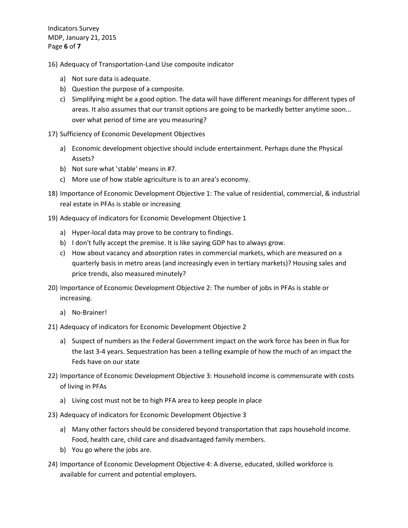Indicators Survey MDP, January 21, 2015 Page **6** of **7**

- 16) Adequacy of Transportation-Land Use composite indicator
	- a) Not sure data is adequate.
	- b) Question the purpose of a composite.
	- c) Simplifying might be a good option. The data will have different meanings for different types of areas. It also assumes that our transit options are going to be markedly better anytime soon... over what period of time are you measuring?
- 17) Sufficiency of Economic Development Objectives
	- a) Economic development objective should include entertainment. Perhaps dune the Physical Assets?
	- b) Not sure what 'stable' means in #7.
	- c) More use of how stable agriculture is to an area's economy.
- 18) Importance of Economic Development Objective 1: The value of residential, commercial, & industrial real estate in PFAs is stable or increasing
- 19) Adequacy of indicators for Economic Development Objective 1
	- a) Hyper-local data may prove to be contrary to findings.
	- b) I don't fully accept the premise. It is like saying GDP has to always grow.
	- c) How about vacancy and absorption rates in commercial markets, which are measured on a quarterly basis in metro areas (and increasingly even in tertiary markets)? Housing sales and price trends, also measured minutely?
- 20) Importance of Economic Development Objective 2: The number of jobs in PFAs is stable or increasing.
	- a) No-Brainer!
- 21) Adequacy of indicators for Economic Development Objective 2
	- a) Suspect of numbers as the Federal Government impact on the work force has been in flux for the last 3-4 years. Sequestration has been a telling example of how the much of an impact the Feds have on our state
- 22) Importance of Economic Development Objective 3: Household income is commensurate with costs of living in PFAs
	- a) Living cost must not be to high PFA area to keep people in place
- 23) Adequacy of indicators for Economic Development Objective 3
	- a) Many other factors should be considered beyond transportation that zaps household income. Food, health care, child care and disadvantaged family members.
	- b) You go where the jobs are.
- 24) Importance of Economic Development Objective 4: A diverse, educated, skilled workforce is available for current and potential employers.